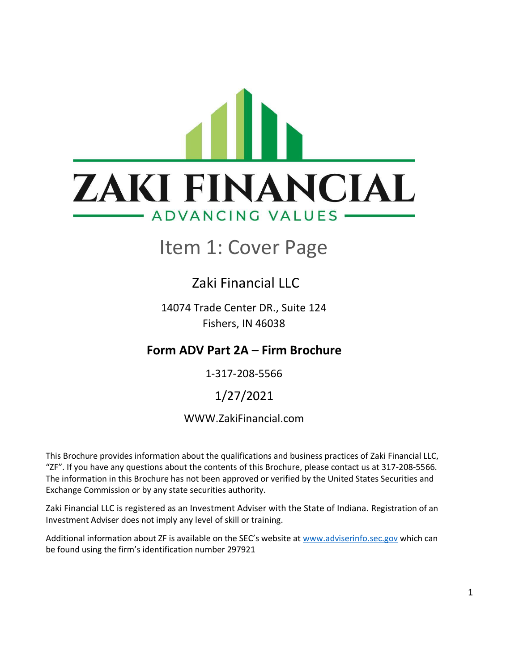# <span id="page-0-0"></span>**ZAKI FINANCIAL** ADVANCING VALUES -

### Item 1: Cover Page

### Zaki Financial LLC

14074 Trade Center DR., Suite 124 Fishers, IN 46038

### **Form ADV Part 2A – Firm Brochure**

1-317-208-5566

### 1/27/2021

### WWW.ZakiFinancial.com

This Brochure provides information about the qualifications and business practices of Zaki Financial LLC, "ZF". If you have any questions about the contents of this Brochure, please contact us at 317-208-5566. The information in this Brochure has not been approved or verified by the United States Securities and Exchange Commission or by any state securities authority.

Zaki Financial LLC is registered as an Investment Adviser with the State of Indiana. Registration of an Investment Adviser does not imply any level of skill or training.

Additional information about ZF is available on the SEC's website at [www.adviserinfo.sec.gov](http://www.adviserinfo.sec.gov/) which can be found using the firm's identification number 297921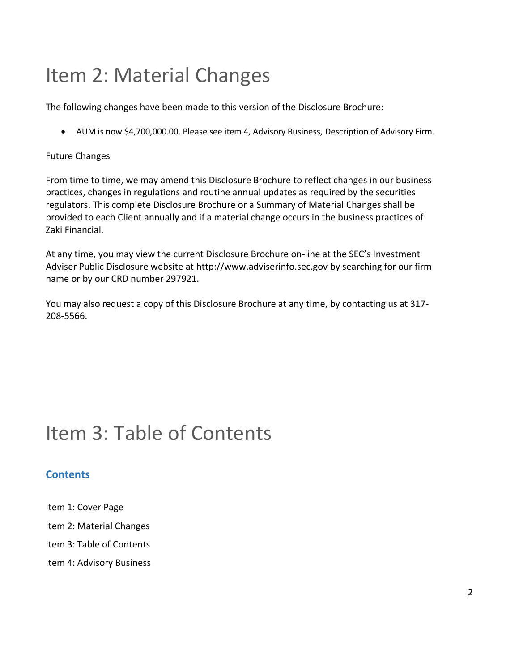# <span id="page-1-0"></span>Item 2: Material Changes

The following changes have been made to this version of the Disclosure Brochure:

• AUM is now \$4,700,000.00. Please see item 4, Advisory Business, Description of Advisory Firm.

#### Future Changes

From time to time, we may amend this Disclosure Brochure to reflect changes in our business practices, changes in regulations and routine annual updates as required by the securities regulators. This complete Disclosure Brochure or a Summary of Material Changes shall be provided to each Client annually and if a material change occurs in the business practices of Zaki Financial.

At any time, you may view the current Disclosure Brochure on-line at the SEC's Investment Adviser Public Disclosure website at [http://www.adviserinfo.sec.gov](http://www.adviserinfo.sec.gov/) by searching for our firm name or by our CRD number 297921.

You may also request a copy of this Disclosure Brochure at any time, by contacting us at 317- 208-5566.

# <span id="page-1-1"></span>Item 3: Table of Contents

### **Contents**

- [Item 1: Cover Page](#page-0-0)
- [Item 2: Material Changes](#page-1-0)
- [Item 3: Table of Contents](#page-1-1)
- Item 4: Advisory Business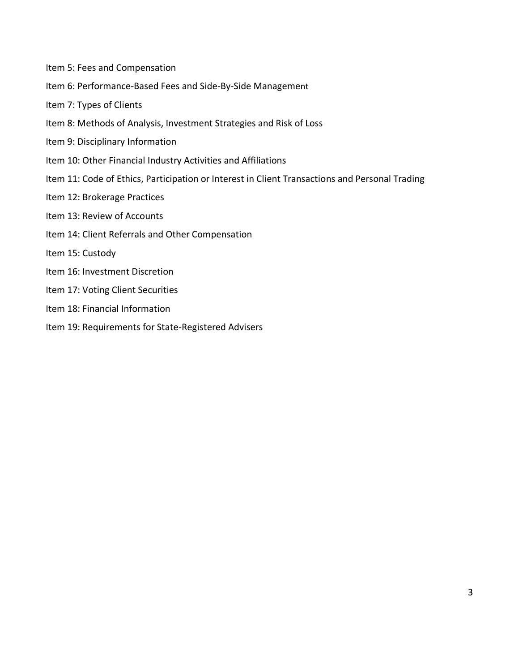- [Item 5: Fees and Compensation](#page-6-0)
- [Item 6: Performance-Based Fees and Side-By-Side Manageme](#page-8-0)[nt](#page-8-0)
- [Item 7: Types of Clients](#page-8-1)
- [Item 8: Methods of Analysis, Investment Strategies and Risk of Loss](#page-9-0)
- [Item 9: Disciplinary Information](#page-11-0)
- [Item 10: Other Financial Industry Activities and Affiliations](#page-11-1)
- [Item 11: Code of Ethics, Participation or Interest in Client Transactions and Personal Trading](#page-12-0)
- [Item 12: Brokerage Practices](#page-12-1)
- [Item 13: Review of Accounts](#page-14-0)
- [Item 14: Client Referrals and Other Compensation](#page-14-1)
- [Item 15: Custody](#page-15-0)
- [Item 16: Investment Discretion](#page-15-1)
- [Item 17: Voting Client Securities](#page-15-2)
- [Item 18: Financial Information](#page-16-0)
- [Item 19: Requirements for State-Registered Advisers](#page-16-1)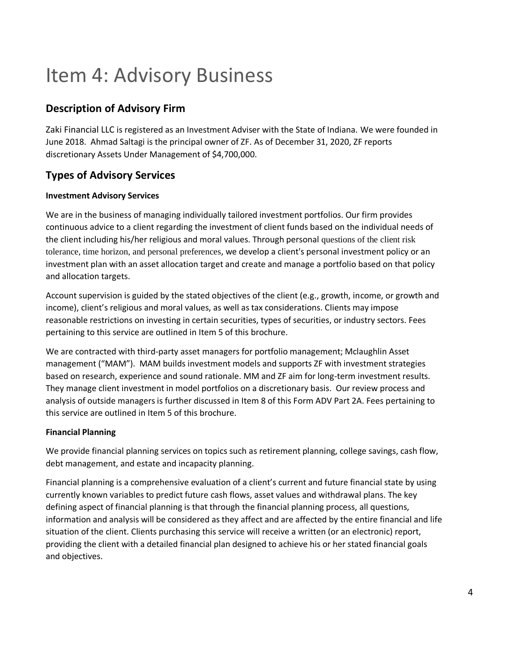# Item 4: Advisory Business

### **Description of Advisory Firm**

Zaki Financial LLC is registered as an Investment Adviser with the State of Indiana. We were founded in June 2018. Ahmad Saltagi is the principal owner of ZF. As of December 31, 2020, ZF reports discretionary Assets Under Management of \$4,700,000.

### **Types of Advisory Services**

#### **Investment Advisory Services**

We are in the business of managing individually tailored investment portfolios. Our firm provides continuous advice to a client regarding the investment of client funds based on the individual needs of the client including his/her religious and moral values. Through personal questions of the client risk tolerance, time horizon, and personal preferences, we develop a client's personal investment policy or an investment plan with an asset allocation target and create and manage a portfolio based on that policy and allocation targets.

Account supervision is guided by the stated objectives of the client (e.g., growth, income, or growth and income), client's religious and moral values, as well as tax considerations. Clients may impose reasonable restrictions on investing in certain securities, types of securities, or industry sectors. Fees pertaining to this service are outlined in Item 5 of this brochure.

We are contracted with third-party asset managers for portfolio management; Mclaughlin Asset management ("MAM"). MAM builds investment models and supports ZF with investment strategies based on research, experience and sound rationale. MM and ZF aim for long-term investment results. They manage client investment in model portfolios on a discretionary basis. Our review process and analysis of outside managers is further discussed in Item 8 of this Form ADV Part 2A. Fees pertaining to this service are outlined in Item 5 of this brochure.

#### **Financial Planning**

We provide financial planning services on topics such as retirement planning, college savings, cash flow, debt management, and estate and incapacity planning.

Financial planning is a comprehensive evaluation of a client's current and future financial state by using currently known variables to predict future cash flows, asset values and withdrawal plans. The key defining aspect of financial planning is that through the financial planning process, all questions, information and analysis will be considered as they affect and are affected by the entire financial and life situation of the client. Clients purchasing this service will receive a written (or an electronic) report, providing the client with a detailed financial plan designed to achieve his or her stated financial goals and objectives.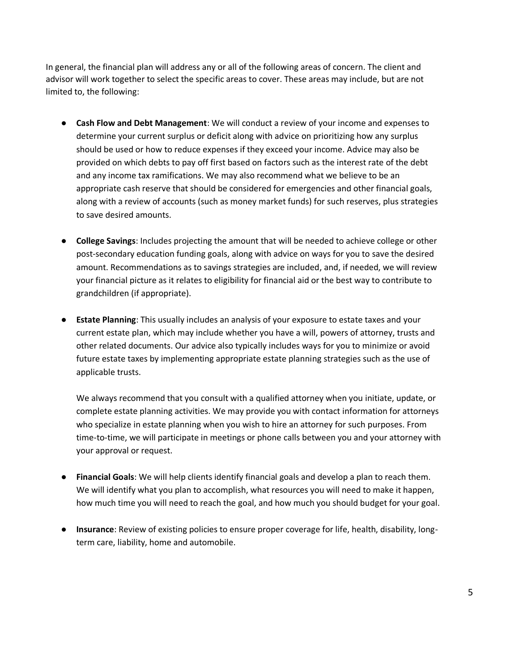In general, the financial plan will address any or all of the following areas of concern. The client and advisor will work together to select the specific areas to cover. These areas may include, but are not limited to, the following:

- **Cash Flow and Debt Management**: We will conduct a review of your income and expenses to determine your current surplus or deficit along with advice on prioritizing how any surplus should be used or how to reduce expenses if they exceed your income. Advice may also be provided on which debts to pay off first based on factors such as the interest rate of the debt and any income tax ramifications. We may also recommend what we believe to be an appropriate cash reserve that should be considered for emergencies and other financial goals, along with a review of accounts (such as money market funds) for such reserves, plus strategies to save desired amounts.
- **College Savings**: Includes projecting the amount that will be needed to achieve college or other post-secondary education funding goals, along with advice on ways for you to save the desired amount. Recommendations as to savings strategies are included, and, if needed, we will review your financial picture as it relates to eligibility for financial aid or the best way to contribute to grandchildren (if appropriate).
- **Estate Planning**: This usually includes an analysis of your exposure to estate taxes and your current estate plan, which may include whether you have a will, powers of attorney, trusts and other related documents. Our advice also typically includes ways for you to minimize or avoid future estate taxes by implementing appropriate estate planning strategies such as the use of applicable trusts.

We always recommend that you consult with a qualified attorney when you initiate, update, or complete estate planning activities. We may provide you with contact information for attorneys who specialize in estate planning when you wish to hire an attorney for such purposes. From time-to-time, we will participate in meetings or phone calls between you and your attorney with your approval or request.

- **Financial Goals**: We will help clients identify financial goals and develop a plan to reach them. We will identify what you plan to accomplish, what resources you will need to make it happen, how much time you will need to reach the goal, and how much you should budget for your goal.
- **Insurance**: Review of existing policies to ensure proper coverage for life, health, disability, longterm care, liability, home and automobile.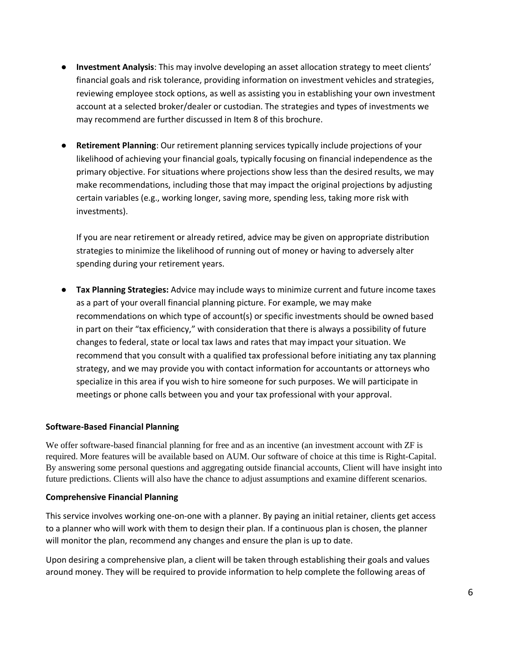- **Investment Analysis**: This may involve developing an asset allocation strategy to meet clients' financial goals and risk tolerance, providing information on investment vehicles and strategies, reviewing employee stock options, as well as assisting you in establishing your own investment account at a selected broker/dealer or custodian. The strategies and types of investments we may recommend are further discussed in Item 8 of this brochure.
- **Retirement Planning**: Our retirement planning services typically include projections of your likelihood of achieving your financial goals, typically focusing on financial independence as the primary objective. For situations where projections show less than the desired results, we may make recommendations, including those that may impact the original projections by adjusting certain variables (e.g., working longer, saving more, spending less, taking more risk with investments).

If you are near retirement or already retired, advice may be given on appropriate distribution strategies to minimize the likelihood of running out of money or having to adversely alter spending during your retirement years.

● **Tax Planning Strategies:** Advice may include ways to minimize current and future income taxes as a part of your overall financial planning picture. For example, we may make recommendations on which type of account(s) or specific investments should be owned based in part on their "tax efficiency," with consideration that there is always a possibility of future changes to federal, state or local tax laws and rates that may impact your situation. We recommend that you consult with a qualified tax professional before initiating any tax planning strategy, and we may provide you with contact information for accountants or attorneys who specialize in this area if you wish to hire someone for such purposes. We will participate in meetings or phone calls between you and your tax professional with your approval.

#### **Software-Based Financial Planning**

We offer software-based financial planning for free and as an incentive (an investment account with ZF is required. More features will be available based on AUM. Our software of choice at this time is Right-Capital. By answering some personal questions and aggregating outside financial accounts, Client will have insight into future predictions. Clients will also have the chance to adjust assumptions and examine different scenarios.

#### **Comprehensive Financial Planning**

This service involves working one-on-one with a planner. By paying an initial retainer, clients get access to a planner who will work with them to design their plan. If a continuous plan is chosen, the planner will monitor the plan, recommend any changes and ensure the plan is up to date.

Upon desiring a comprehensive plan, a client will be taken through establishing their goals and values around money. They will be required to provide information to help complete the following areas of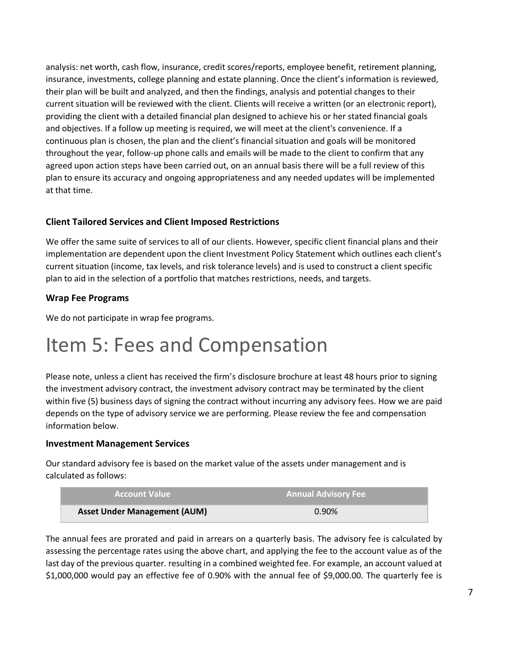analysis: net worth, cash flow, insurance, credit scores/reports, employee benefit, retirement planning, insurance, investments, college planning and estate planning. Once the client's information is reviewed, their plan will be built and analyzed, and then the findings, analysis and potential changes to their current situation will be reviewed with the client. Clients will receive a written (or an electronic report), providing the client with a detailed financial plan designed to achieve his or her stated financial goals and objectives. If a follow up meeting is required, we will meet at the client's convenience. If a continuous plan is chosen, the plan and the client's financial situation and goals will be monitored throughout the year, follow-up phone calls and emails will be made to the client to confirm that any agreed upon action steps have been carried out, on an annual basis there will be a full review of this plan to ensure its accuracy and ongoing appropriateness and any needed updates will be implemented at that time.

#### **Client Tailored Services and Client Imposed Restrictions**

We offer the same suite of services to all of our clients. However, specific client financial plans and their implementation are dependent upon the client Investment Policy Statement which outlines each client's current situation (income, tax levels, and risk tolerance levels) and is used to construct a client specific plan to aid in the selection of a portfolio that matches restrictions, needs, and targets.

#### **Wrap Fee Programs**

We do not participate in wrap fee programs.

### <span id="page-6-0"></span>Item 5: Fees and Compensation

Please note, unless a client has received the firm's disclosure brochure at least 48 hours prior to signing the investment advisory contract, the investment advisory contract may be terminated by the client within five (5) business days of signing the contract without incurring any advisory fees. How we are paid depends on the type of advisory service we are performing. Please review the fee and compensation information below.

#### **Investment Management Services**

Our standard advisory fee is based on the market value of the assets under management and is calculated as follows:

| <b>Account Value</b>                | <b>Annual Advisory Fee</b> |
|-------------------------------------|----------------------------|
| <b>Asset Under Management (AUM)</b> | 0.90%                      |

The annual fees are prorated and paid in arrears on a quarterly basis. The advisory fee is calculated by assessing the percentage rates using the above chart, and applying the fee to the account value as of the last day of the previous quarter. resulting in a combined weighted fee. For example, an account valued at \$1,000,000 would pay an effective fee of 0.90% with the annual fee of \$9,000.00. The quarterly fee is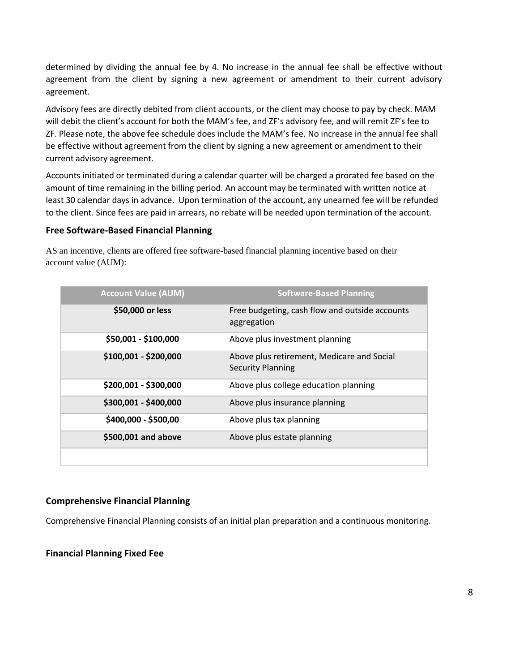determined by dividing the annual fee by 4. No increase in the annual fee shall be effective without agreement from the client by signing a new agreement or amendment to their current advisory agreement.

Advisory fees are directly debited from client accounts, or the client may choose to pay by check. MAM will debit the client's account for both the MAM's fee, and ZF's advisory fee, and will remit ZF's fee to ZF. Please note, the above fee schedule does include the MAM's fee. No increase in the annual fee shall be effective without agreement from the client by signing a new agreement or amendment to their current advisory agreement.

Accounts initiated or terminated during a calendar quarter will be charged a prorated fee based on the amount of time remaining in the billing period. An account may be terminated with written notice at least 30 calendar days in advance. Upon termination of the account, any unearned fee will be refunded to the client. Since fees are paid in arrears, no rebate will be needed upon termination of the account.

#### **Free Software-Based Financial Planning**

AS an incentive, clients are offered free software-based financial planning incentive based on their account value (AUM):

| <b>Account Value (AUM)</b> | <b>Software-Based Planning</b>                                         |
|----------------------------|------------------------------------------------------------------------|
| \$50,000 or less           | Free budgeting, cash flow and outside accounts<br>aggregation          |
| \$50,001 - \$100,000       | Above plus investment planning                                         |
| \$100,001 - \$200,000      | Above plus retirement, Medicare and Social<br><b>Security Planning</b> |
| \$200,001 - \$300,000      | Above plus college education planning                                  |
| \$300,001 - \$400,000      | Above plus insurance planning                                          |
| \$400,000 - \$500,00       | Above plus tax planning                                                |
| \$500,001 and above        | Above plus estate planning                                             |
|                            |                                                                        |

#### **Comprehensive Financial Planning**

Comprehensive Financial Planning consists of an initial plan preparation and a continuous monitoring.

**Financial Planning Fixed Fee**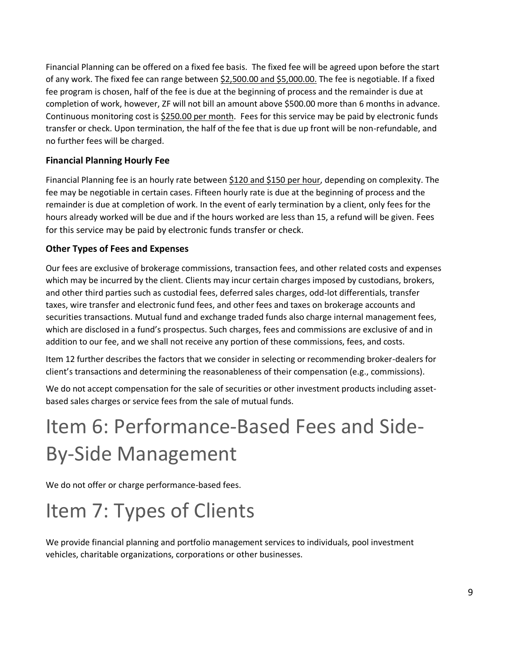Financial Planning can be offered on a fixed fee basis. The fixed fee will be agreed upon before the start of any work. The fixed fee can range between \$2,500.00 and \$5,000.00. The fee is negotiable. If a fixed fee program is chosen, half of the fee is due at the beginning of process and the remainder is due at completion of work, however, ZF will not bill an amount above \$500.00 more than 6 months in advance. Continuous monitoring cost is \$250.00 per month. Fees for this service may be paid by electronic funds transfer or check. Upon termination, the half of the fee that is due up front will be non-refundable, and no further fees will be charged.

#### **Financial Planning Hourly Fee**

Financial Planning fee is an hourly rate between \$120 and \$150 per hour, depending on complexity. The fee may be negotiable in certain cases. Fifteen hourly rate is due at the beginning of process and the remainder is due at completion of work. In the event of early termination by a client, only fees for the hours already worked will be due and if the hours worked are less than 15, a refund will be given. Fees for this service may be paid by electronic funds transfer or check.

#### **Other Types of Fees and Expenses**

Our fees are exclusive of brokerage commissions, transaction fees, and other related costs and expenses which may be incurred by the client. Clients may incur certain charges imposed by custodians, brokers, and other third parties such as custodial fees, deferred sales charges, odd-lot differentials, transfer taxes, wire transfer and electronic fund fees, and other fees and taxes on brokerage accounts and securities transactions. Mutual fund and exchange traded funds also charge internal management fees, which are disclosed in a fund's prospectus. Such charges, fees and commissions are exclusive of and in addition to our fee, and we shall not receive any portion of these commissions, fees, and costs.

Item 12 further describes the factors that we consider in selecting or recommending broker-dealers for client's transactions and determining the reasonableness of their compensation (e.g., commissions).

We do not accept compensation for the sale of securities or other investment products including assetbased sales charges or service fees from the sale of mutual funds.

# <span id="page-8-0"></span>Item 6: Performance-Based Fees and Side-By-Side Management

We do not offer or charge performance-based fees.

# <span id="page-8-1"></span>Item 7: Types of Clients

We provide financial planning and portfolio management services to individuals, pool investment vehicles, charitable organizations, corporations or other businesses.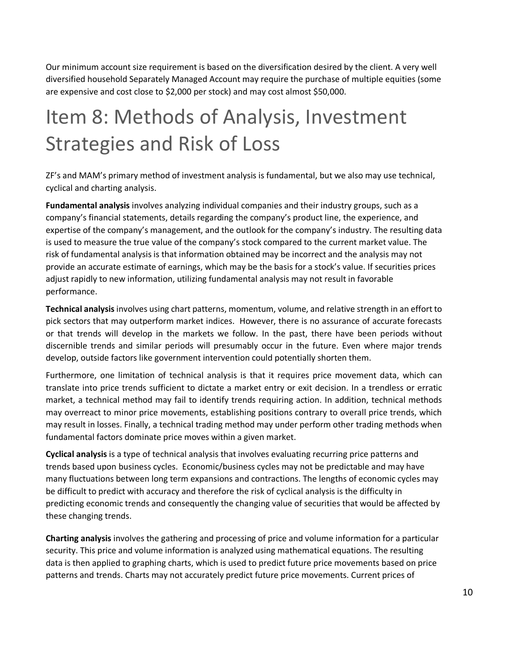Our minimum account size requirement is based on the diversification desired by the client. A very well diversified household Separately Managed Account may require the purchase of multiple equities (some are expensive and cost close to \$2,000 per stock) and may cost almost \$50,000.

# <span id="page-9-0"></span>Item 8: Methods of Analysis, Investment Strategies and Risk of Loss

ZF's and MAM's primary method of investment analysis is fundamental, but we also may use technical, cyclical and charting analysis.

**Fundamental analysis** involves analyzing individual companies and their industry groups, such as a company's financial statements, details regarding the company's product line, the experience, and expertise of the company's management, and the outlook for the company's industry. The resulting data is used to measure the true value of the company's stock compared to the current market value. The risk of fundamental analysis is that information obtained may be incorrect and the analysis may not provide an accurate estimate of earnings, which may be the basis for a stock's value. If securities prices adjust rapidly to new information, utilizing fundamental analysis may not result in favorable performance.

**Technical analysis**involves using chart patterns, momentum, volume, and relative strength in an effort to pick sectors that may outperform market indices. However, there is no assurance of accurate forecasts or that trends will develop in the markets we follow. In the past, there have been periods without discernible trends and similar periods will presumably occur in the future. Even where major trends develop, outside factors like government intervention could potentially shorten them.

Furthermore, one limitation of technical analysis is that it requires price movement data, which can translate into price trends sufficient to dictate a market entry or exit decision. In a trendless or erratic market, a technical method may fail to identify trends requiring action. In addition, technical methods may overreact to minor price movements, establishing positions contrary to overall price trends, which may result in losses. Finally, a technical trading method may under perform other trading methods when fundamental factors dominate price moves within a given market.

**Cyclical analysis** is a type of technical analysis that involves evaluating recurring price patterns and trends based upon business cycles. Economic/business cycles may not be predictable and may have many fluctuations between long term expansions and contractions. The lengths of economic cycles may be difficult to predict with accuracy and therefore the risk of cyclical analysis is the difficulty in predicting economic trends and consequently the changing value of securities that would be affected by these changing trends.

**Charting analysis** involves the gathering and processing of price and volume information for a particular security. This price and volume information is analyzed using mathematical equations. The resulting data is then applied to graphing charts, which is used to predict future price movements based on price patterns and trends. Charts may not accurately predict future price movements. Current prices of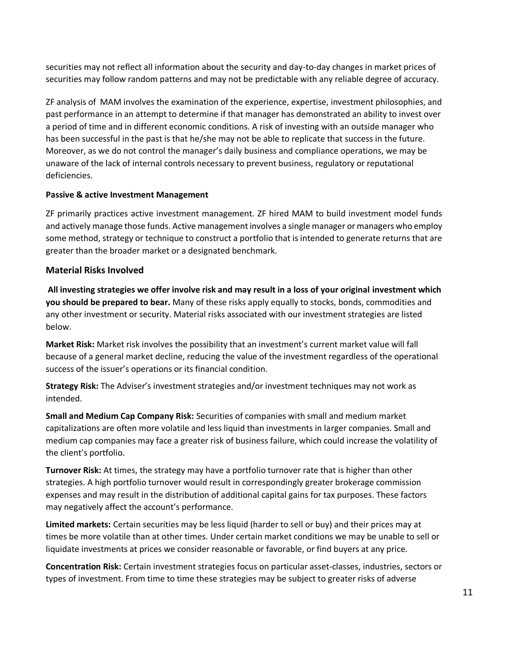securities may not reflect all information about the security and day-to-day changes in market prices of securities may follow random patterns and may not be predictable with any reliable degree of accuracy.

ZF analysis of MAM involves the examination of the experience, expertise, investment philosophies, and past performance in an attempt to determine if that manager has demonstrated an ability to invest over a period of time and in different economic conditions. A risk of investing with an outside manager who has been successful in the past is that he/she may not be able to replicate that success in the future. Moreover, as we do not control the manager's daily business and compliance operations, we may be unaware of the lack of internal controls necessary to prevent business, regulatory or reputational deficiencies.

#### **Passive & active Investment Management**

ZF primarily practices active investment management. ZF hired MAM to build investment model funds and actively manage those funds. Active management involves a single manager or managers who employ some method, strategy or technique to construct a portfolio that is intended to generate returns that are greater than the broader market or a designated benchmark.

#### **Material Risks Involved**

**All investing strategies we offer involve risk and may result in a loss of your original investment which you should be prepared to bear.** Many of these risks apply equally to stocks, bonds, commodities and any other investment or security. Material risks associated with our investment strategies are listed below.

**Market Risk:** Market risk involves the possibility that an investment's current market value will fall because of a general market decline, reducing the value of the investment regardless of the operational success of the issuer's operations or its financial condition.

**Strategy Risk:** The Adviser's investment strategies and/or investment techniques may not work as intended.

**Small and Medium Cap Company Risk:** Securities of companies with small and medium market capitalizations are often more volatile and less liquid than investments in larger companies. Small and medium cap companies may face a greater risk of business failure, which could increase the volatility of the client's portfolio.

**Turnover Risk:** At times, the strategy may have a portfolio turnover rate that is higher than other strategies. A high portfolio turnover would result in correspondingly greater brokerage commission expenses and may result in the distribution of additional capital gains for tax purposes. These factors may negatively affect the account's performance.

**Limited markets:** Certain securities may be less liquid (harder to sell or buy) and their prices may at times be more volatile than at other times. Under certain market conditions we may be unable to sell or liquidate investments at prices we consider reasonable or favorable, or find buyers at any price.

**Concentration Risk:** Certain investment strategies focus on particular asset-classes, industries, sectors or types of investment. From time to time these strategies may be subject to greater risks of adverse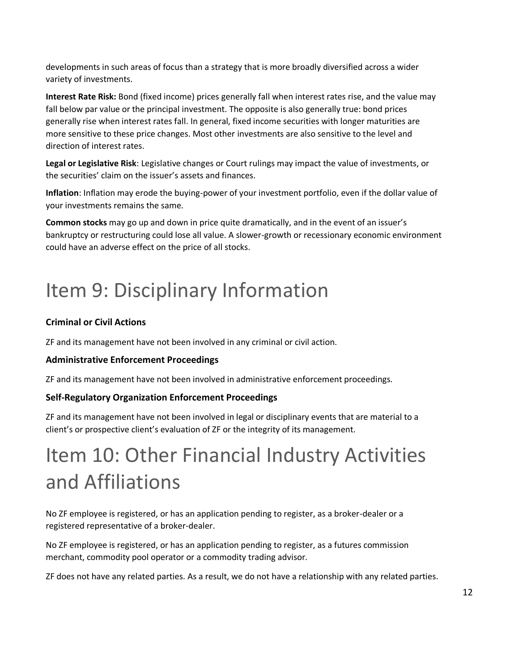developments in such areas of focus than a strategy that is more broadly diversified across a wider variety of investments.

**Interest Rate Risk:** Bond (fixed income) prices generally fall when interest rates rise, and the value may fall below par value or the principal investment. The opposite is also generally true: bond prices generally rise when interest rates fall. In general, fixed income securities with longer maturities are more sensitive to these price changes. Most other investments are also sensitive to the level and direction of interest rates.

**Legal or Legislative Risk**: Legislative changes or Court rulings may impact the value of investments, or the securities' claim on the issuer's assets and finances.

**Inflation**: Inflation may erode the buying-power of your investment portfolio, even if the dollar value of your investments remains the same.

**Common stocks** may go up and down in price quite dramatically, and in the event of an issuer's bankruptcy or restructuring could lose all value. A slower-growth or recessionary economic environment could have an adverse effect on the price of all stocks.

# <span id="page-11-0"></span>Item 9: Disciplinary Information

#### <span id="page-11-1"></span>**Criminal or Civil Actions**

ZF and its management have not been involved in any criminal or civil action.

#### **Administrative Enforcement Proceedings**

ZF and its management have not been involved in administrative enforcement proceedings.

#### **Self-Regulatory Organization Enforcement Proceedings**

ZF and its management have not been involved in legal or disciplinary events that are material to a client's or prospective client's evaluation of ZF or the integrity of its management.

# Item 10: Other Financial Industry Activities and Affiliations

No ZF employee is registered, or has an application pending to register, as a broker-dealer or a registered representative of a broker-dealer.

No ZF employee is registered, or has an application pending to register, as a futures commission merchant, commodity pool operator or a commodity trading advisor.

ZF does not have any related parties. As a result, we do not have a relationship with any related parties.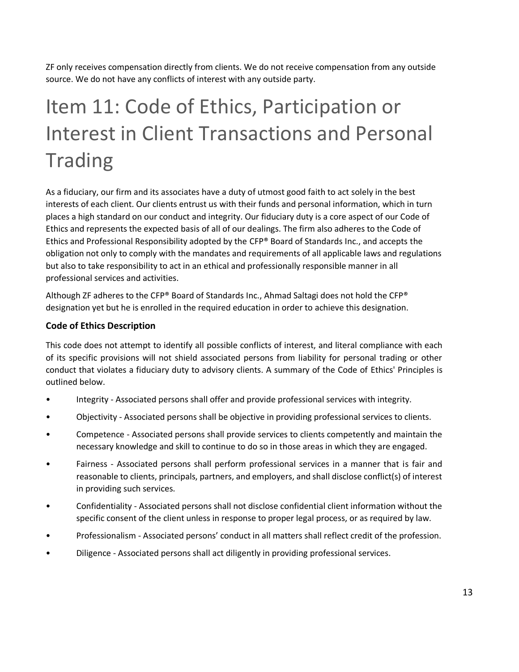ZF only receives compensation directly from clients. We do not receive compensation from any outside source. We do not have any conflicts of interest with any outside party.

# <span id="page-12-0"></span>Item 11: Code of Ethics, Participation or Interest in Client Transactions and Personal **Trading**

<span id="page-12-1"></span>As a fiduciary, our firm and its associates have a duty of utmost good faith to act solely in the best interests of each client. Our clients entrust us with their funds and personal information, which in turn places a high standard on our conduct and integrity. Our fiduciary duty is a core aspect of our Code of Ethics and represents the expected basis of all of our dealings. The firm also adheres to the Code of Ethics and Professional Responsibility adopted by the CFP® Board of Standards Inc., and accepts the obligation not only to comply with the mandates and requirements of all applicable laws and regulations but also to take responsibility to act in an ethical and professionally responsible manner in all professional services and activities.

Although ZF adheres to the CFP® Board of Standards Inc., Ahmad Saltagi does not hold the CFP® designation yet but he is enrolled in the required education in order to achieve this designation.

#### **Code of Ethics Description**

This code does not attempt to identify all possible conflicts of interest, and literal compliance with each of its specific provisions will not shield associated persons from liability for personal trading or other conduct that violates a fiduciary duty to advisory clients. A summary of the Code of Ethics' Principles is outlined below.

- Integrity Associated persons shall offer and provide professional services with integrity.
- Objectivity Associated persons shall be objective in providing professional services to clients.
- Competence Associated persons shall provide services to clients competently and maintain the necessary knowledge and skill to continue to do so in those areas in which they are engaged.
- Fairness Associated persons shall perform professional services in a manner that is fair and reasonable to clients, principals, partners, and employers, and shall disclose conflict(s) of interest in providing such services.
- Confidentiality Associated persons shall not disclose confidential client information without the specific consent of the client unless in response to proper legal process, or as required by law.
- Professionalism Associated persons' conduct in all matters shall reflect credit of the profession.
- Diligence Associated persons shall act diligently in providing professional services.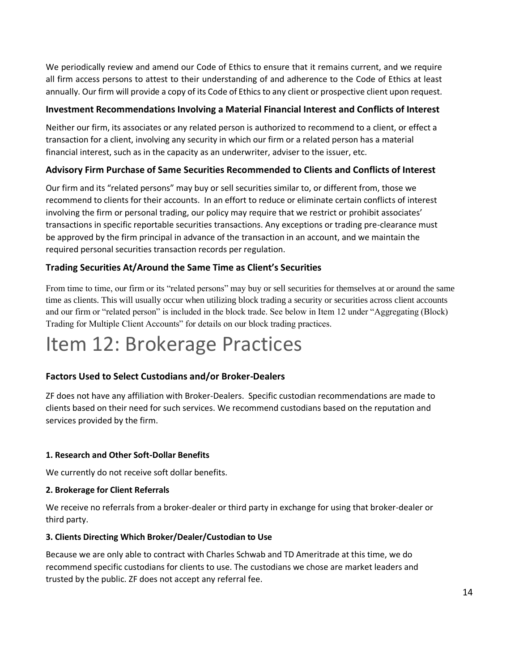We periodically review and amend our Code of Ethics to ensure that it remains current, and we require all firm access persons to attest to their understanding of and adherence to the Code of Ethics at least annually. Our firm will provide a copy of its Code of Ethics to any client or prospective client upon request.

#### **Investment Recommendations Involving a Material Financial Interest and Conflicts of Interest**

Neither our firm, its associates or any related person is authorized to recommend to a client, or effect a transaction for a client, involving any security in which our firm or a related person has a material financial interest, such as in the capacity as an underwriter, adviser to the issuer, etc.

#### **Advisory Firm Purchase of Same Securities Recommended to Clients and Conflicts of Interest**

Our firm and its "related persons" may buy or sell securities similar to, or different from, those we recommend to clients for their accounts. In an effort to reduce or eliminate certain conflicts of interest involving the firm or personal trading, our policy may require that we restrict or prohibit associates' transactions in specific reportable securities transactions. Any exceptions or trading pre-clearance must be approved by the firm principal in advance of the transaction in an account, and we maintain the required personal securities transaction records per regulation.

#### **Trading Securities At/Around the Same Time as Client's Securities**

From time to time, our firm or its "related persons" may buy or sell securities for themselves at or around the same time as clients. This will usually occur when utilizing block trading a security or securities across client accounts and our firm or "related person" is included in the block trade. See below in Item 12 under "Aggregating (Block) Trading for Multiple Client Accounts" for details on our block trading practices.

## Item 12: Brokerage Practices

#### **Factors Used to Select Custodians and/or Broker-Dealers**

ZF does not have any affiliation with Broker-Dealers. Specific custodian recommendations are made to clients based on their need for such services. We recommend custodians based on the reputation and services provided by the firm.

#### **1. Research and Other Soft-Dollar Benefits**

We currently do not receive soft dollar benefits.

#### **2. Brokerage for Client Referrals**

We receive no referrals from a broker-dealer or third party in exchange for using that broker-dealer or third party.

#### **3. Clients Directing Which Broker/Dealer/Custodian to Use**

Because we are only able to contract with Charles Schwab and TD Ameritrade at this time, we do recommend specific custodians for clients to use. The custodians we chose are market leaders and trusted by the public. ZF does not accept any referral fee.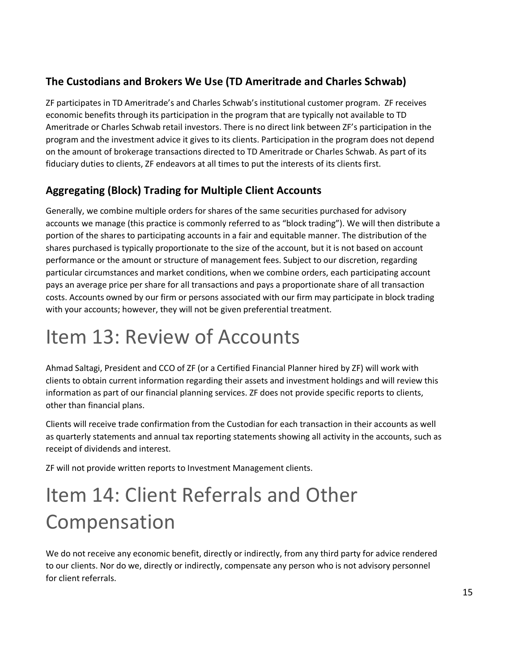### **The Custodians and Brokers We Use (TD Ameritrade and Charles Schwab)**

ZF participates in TD Ameritrade's and Charles Schwab's institutional customer program. ZF receives economic benefits through its participation in the program that are typically not available to TD Ameritrade or Charles Schwab retail investors. There is no direct link between ZF's participation in the program and the investment advice it gives to its clients. Participation in the program does not depend on the amount of brokerage transactions directed to TD Ameritrade or Charles Schwab. As part of its fiduciary duties to clients, ZF endeavors at all times to put the interests of its clients first.

### **Aggregating (Block) Trading for Multiple Client Accounts**

Generally, we combine multiple orders for shares of the same securities purchased for advisory accounts we manage (this practice is commonly referred to as "block trading"). We will then distribute a portion of the shares to participating accounts in a fair and equitable manner. The distribution of the shares purchased is typically proportionate to the size of the account, but it is not based on account performance or the amount or structure of management fees. Subject to our discretion, regarding particular circumstances and market conditions, when we combine orders, each participating account pays an average price per share for all transactions and pays a proportionate share of all transaction costs. Accounts owned by our firm or persons associated with our firm may participate in block trading with your accounts; however, they will not be given preferential treatment.

# <span id="page-14-0"></span>Item 13: Review of Accounts

Ahmad Saltagi, President and CCO of ZF (or a Certified Financial Planner hired by ZF) will work with clients to obtain current information regarding their assets and investment holdings and will review this information as part of our financial planning services. ZF does not provide specific reports to clients, other than financial plans.

Clients will receive trade confirmation from the Custodian for each transaction in their accounts as well as quarterly statements and annual tax reporting statements showing all activity in the accounts, such as receipt of dividends and interest.

ZF will not provide written reports to Investment Management clients.

# <span id="page-14-1"></span>Item 14: Client Referrals and Other Compensation

We do not receive any economic benefit, directly or indirectly, from any third party for advice rendered to our clients. Nor do we, directly or indirectly, compensate any person who is not advisory personnel for client referrals.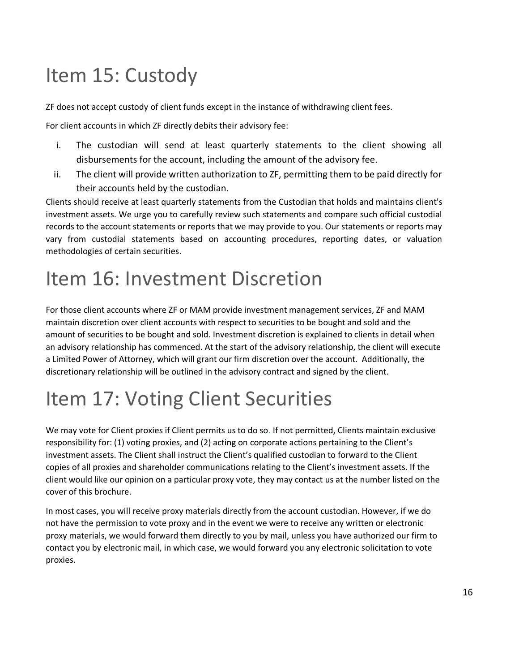# <span id="page-15-0"></span>Item 15: Custody

ZF does not accept custody of client funds except in the instance of withdrawing client fees.

For client accounts in which ZF directly debits their advisory fee:

- i. The custodian will send at least quarterly statements to the client showing all disbursements for the account, including the amount of the advisory fee.
- ii. The client will provide written authorization to ZF, permitting them to be paid directly for their accounts held by the custodian.

Clients should receive at least quarterly statements from the Custodian that holds and maintains client's investment assets. We urge you to carefully review such statements and compare such official custodial records to the account statements or reports that we may provide to you. Our statements or reports may vary from custodial statements based on accounting procedures, reporting dates, or valuation methodologies of certain securities.

# <span id="page-15-1"></span>Item 16: Investment Discretion

For those client accounts where ZF or MAM provide investment management services, ZF and MAM maintain discretion over client accounts with respect to securities to be bought and sold and the amount of securities to be bought and sold. Investment discretion is explained to clients in detail when an advisory relationship has commenced. At the start of the advisory relationship, the client will execute a Limited Power of Attorney, which will grant our firm discretion over the account. Additionally, the discretionary relationship will be outlined in the advisory contract and signed by the client.

# <span id="page-15-2"></span>Item 17: Voting Client Securities

We may vote for Client proxies if Client permits us to do so. If not permitted, Clients maintain exclusive responsibility for: (1) voting proxies, and (2) acting on corporate actions pertaining to the Client's investment assets. The Client shall instruct the Client's qualified custodian to forward to the Client copies of all proxies and shareholder communications relating to the Client's investment assets. If the client would like our opinion on a particular proxy vote, they may contact us at the number listed on the cover of this brochure.

In most cases, you will receive proxy materials directly from the account custodian. However, if we do not have the permission to vote proxy and in the event we were to receive any written or electronic proxy materials, we would forward them directly to you by mail, unless you have authorized our firm to contact you by electronic mail, in which case, we would forward you any electronic solicitation to vote proxies.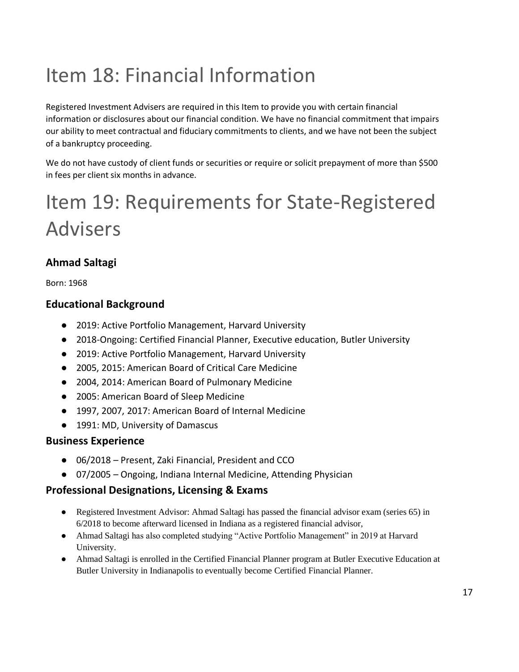# <span id="page-16-0"></span>Item 18: Financial Information

Registered Investment Advisers are required in this Item to provide you with certain financial information or disclosures about our financial condition. We have no financial commitment that impairs our ability to meet contractual and fiduciary commitments to clients, and we have not been the subject of a bankruptcy proceeding.

We do not have custody of client funds or securities or require or solicit prepayment of more than \$500 in fees per client six months in advance.

# <span id="page-16-1"></span>Item 19: Requirements for State-Registered Advisers

### **Ahmad Saltagi**

Born: 1968

### **Educational Background**

- 2019: Active Portfolio Management, Harvard University
- 2018-Ongoing: Certified Financial Planner, Executive education, Butler University
- 2019: Active Portfolio Management, Harvard University
- 2005, 2015: American Board of Critical Care Medicine
- 2004, 2014: American Board of Pulmonary Medicine
- 2005: American Board of Sleep Medicine
- 1997, 2007, 2017: American Board of Internal Medicine
- 1991: MD, University of Damascus

### **Business Experience**

- 06/2018 Present, Zaki Financial, President and CCO
- 07/2005 Ongoing, Indiana Internal Medicine, Attending Physician

### **Professional Designations, Licensing & Exams**

- Registered Investment Advisor: Ahmad Saltagi has passed the financial advisor exam (series 65) in 6/2018 to become afterward licensed in Indiana as a registered financial advisor,
- Ahmad Saltagi has also completed studying "Active Portfolio Management" in 2019 at Harvard University.
- Ahmad Saltagi is enrolled in the Certified Financial Planner program at Butler Executive Education at Butler University in Indianapolis to eventually become Certified Financial Planner.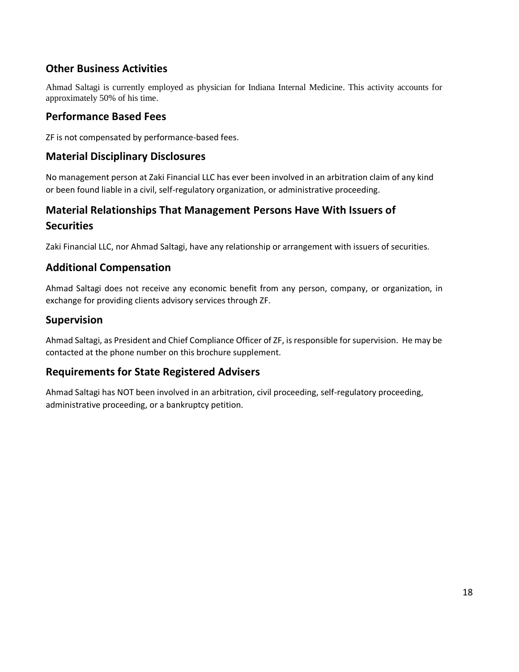### **Other Business Activities**

Ahmad Saltagi is currently employed as physician for Indiana Internal Medicine. This activity accounts for approximately 50% of his time.

#### **Performance Based Fees**

ZF is not compensated by performance-based fees.

#### **Material Disciplinary Disclosures**

No management person at Zaki Financial LLC has ever been involved in an arbitration claim of any kind or been found liable in a civil, self-regulatory organization, or administrative proceeding.

### **Material Relationships That Management Persons Have With Issuers of Securities**

Zaki Financial LLC, nor Ahmad Saltagi, have any relationship or arrangement with issuers of securities.

#### **Additional Compensation**

Ahmad Saltagi does not receive any economic benefit from any person, company, or organization, in exchange for providing clients advisory services through ZF.

#### **Supervision**

Ahmad Saltagi, as President and Chief Compliance Officer of ZF, is responsible for supervision. He may be contacted at the phone number on this brochure supplement.

### **Requirements for State Registered Advisers**

Ahmad Saltagi has NOT been involved in an arbitration, civil proceeding, self-regulatory proceeding, administrative proceeding, or a bankruptcy petition.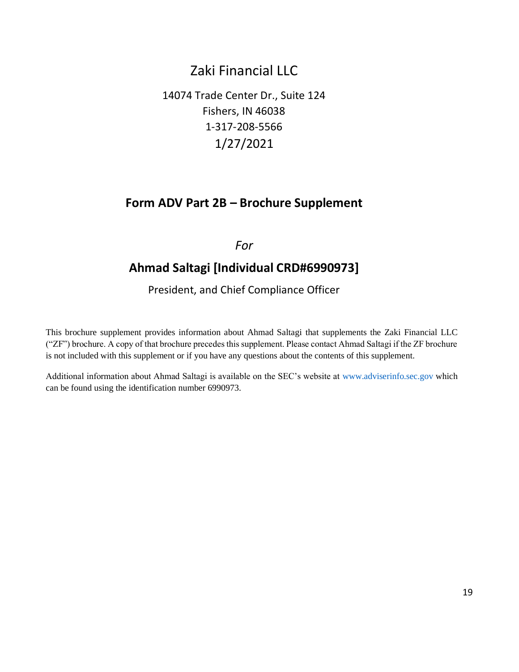### Zaki Financial LLC

14074 Trade Center Dr., Suite 124 Fishers, IN 46038 1-317-208-5566 1/27/2021

### **Form ADV Part 2B – Brochure Supplement**

#### *For*

### **Ahmad Saltagi [Individual CRD#6990973]**

President, and Chief Compliance Officer

This brochure supplement provides information about Ahmad Saltagi that supplements the Zaki Financial LLC ("ZF") brochure. A copy of that brochure precedes this supplement. Please contact Ahmad Saltagi if the ZF brochure is not included with this supplement or if you have any questions about the contents of this supplement.

Additional information about Ahmad Saltagi is available on the SEC's website at www.adviserinfo.sec.gov which can be found using the identification number 6990973.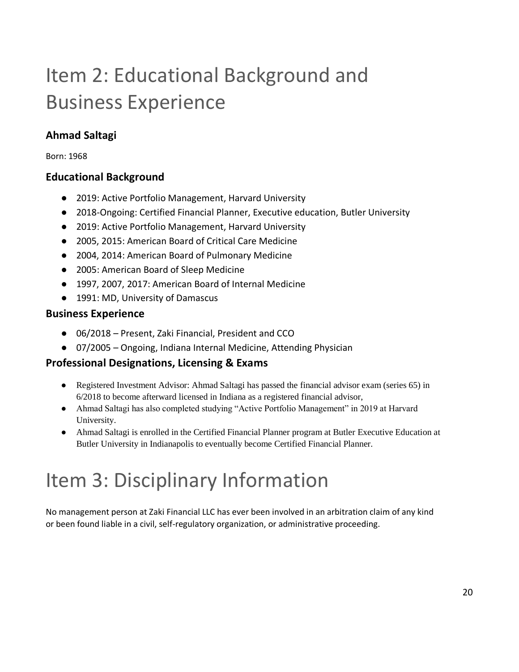# Item 2: Educational Background and Business Experience

### **Ahmad Saltagi**

Born: 1968

### **Educational Background**

- 2019: Active Portfolio Management, Harvard University
- 2018-Ongoing: Certified Financial Planner, Executive education, Butler University
- 2019: Active Portfolio Management, Harvard University
- 2005, 2015: American Board of Critical Care Medicine
- 2004, 2014: American Board of Pulmonary Medicine
- 2005: American Board of Sleep Medicine
- 1997, 2007, 2017: American Board of Internal Medicine
- 1991: MD, University of Damascus

### **Business Experience**

- 06/2018 Present, Zaki Financial, President and CCO
- 07/2005 Ongoing, Indiana Internal Medicine, Attending Physician

### **Professional Designations, Licensing & Exams**

- Registered Investment Advisor: Ahmad Saltagi has passed the financial advisor exam (series 65) in 6/2018 to become afterward licensed in Indiana as a registered financial advisor,
- Ahmad Saltagi has also completed studying "Active Portfolio Management" in 2019 at Harvard University.
- Ahmad Saltagi is enrolled in the Certified Financial Planner program at Butler Executive Education at Butler University in Indianapolis to eventually become Certified Financial Planner.

# Item 3: Disciplinary Information

No management person at Zaki Financial LLC has ever been involved in an arbitration claim of any kind or been found liable in a civil, self-regulatory organization, or administrative proceeding.